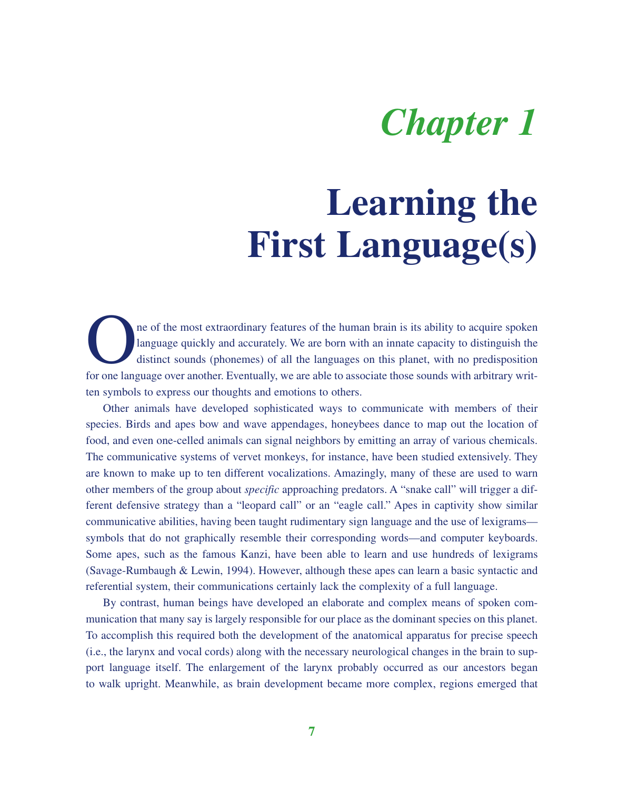# *Chapter 1*

# **Learning the First Language(s)**

The most extraordinary features of the human brain is its ability to acquire spoken language quickly and accurately. We are born with an innate capacity to distinguish the distinct sounds (phonemes) of all the languages on language quickly and accurately. We are born with an innate capacity to distinguish the distinct sounds (phonemes) of all the languages on this planet, with no predisposition for one language over another. Eventually, we are able to associate those sounds with arbitrary written symbols to express our thoughts and emotions to others.

Other animals have developed sophisticated ways to communicate with members of their species. Birds and apes bow and wave appendages, honeybees dance to map out the location of food, and even one-celled animals can signal neighbors by emitting an array of various chemicals. The communicative systems of vervet monkeys, for instance, have been studied extensively. They are known to make up to ten different vocalizations. Amazingly, many of these are used to warn other members of the group about *specific* approaching predators. A "snake call" will trigger a different defensive strategy than a "leopard call" or an "eagle call." Apes in captivity show similar communicative abilities, having been taught rudimentary sign language and the use of lexigrams symbols that do not graphically resemble their corresponding words—and computer keyboards. Some apes, such as the famous Kanzi, have been able to learn and use hundreds of lexigrams (Savage-Rumbaugh & Lewin, 1994). However, although these apes can learn a basic syntactic and referential system, their communications certainly lack the complexity of a full language.

By contrast, human beings have developed an elaborate and complex means of spoken communication that many say is largely responsible for our place as the dominant species on this planet. To accomplish this required both the development of the anatomical apparatus for precise speech (i.e., the larynx and vocal cords) along with the necessary neurological changes in the brain to support language itself. The enlargement of the larynx probably occurred as our ancestors began to walk upright. Meanwhile, as brain development became more complex, regions emerged that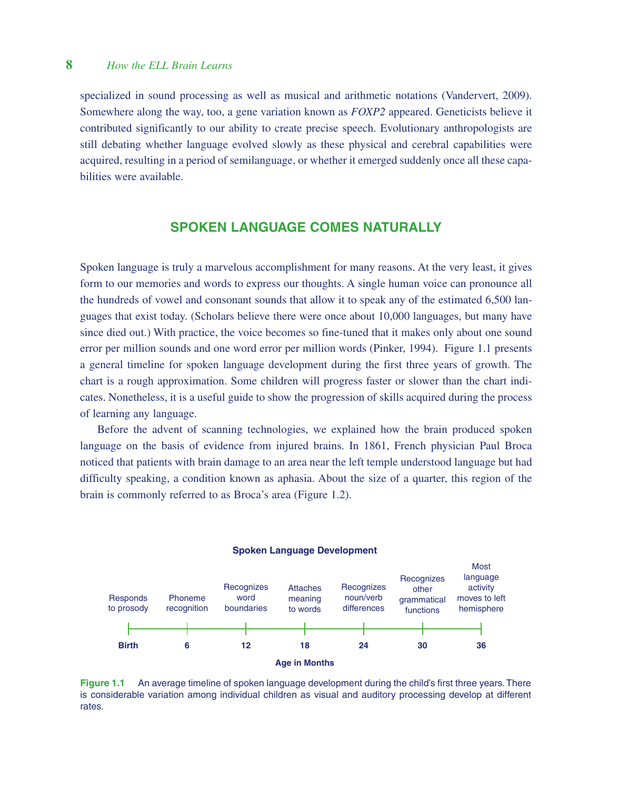#### **8**———*How the ELL Brain Learns*

specialized in sound processing as well as musical and arithmetic notations (Vandervert, 2009). Somewhere along the way, too, a gene variation known as *FOXP2* appeared. Geneticists believe it contributed significantly to our ability to create precise speech. Evolutionary anthropologists are still debating whether language evolved slowly as these physical and cerebral capabilities were acquired, resulting in a period of semilanguage, or whether it emerged suddenly once all these capabilities were available.

## **SPOKEN LANGUAGE COMES NATURALLY**

Spoken language is truly a marvelous accomplishment for many reasons. At the very least, it gives form to our memories and words to express our thoughts. A single human voice can pronounce all the hundreds of vowel and consonant sounds that allow it to speak any of the estimated 6,500 languages that exist today. (Scholars believe there were once about 10,000 languages, but many have since died out.) With practice, the voice becomes so fine-tuned that it makes only about one sound error per million sounds and one word error per million words (Pinker, 1994). Figure 1.1 presents a general timeline for spoken language development during the first three years of growth. The chart is a rough approximation. Some children will progress faster or slower than the chart indicates. Nonetheless, it is a useful guide to show the progression of skills acquired during the process of learning any language.

Before the advent of scanning technologies, we explained how the brain produced spoken language on the basis of evidence from injured brains. In 1861, French physician Paul Broca noticed that patients with brain damage to an area near the left temple understood language but had difficulty speaking, a condition known as aphasia. About the size of a quarter, this region of the brain is commonly referred to as Broca's area (Figure 1.2).



**Figure 1.1** An average timeline of spoken language development during the child's first three years.There is considerable variation among individual children as visual and auditory processing develop at different rates.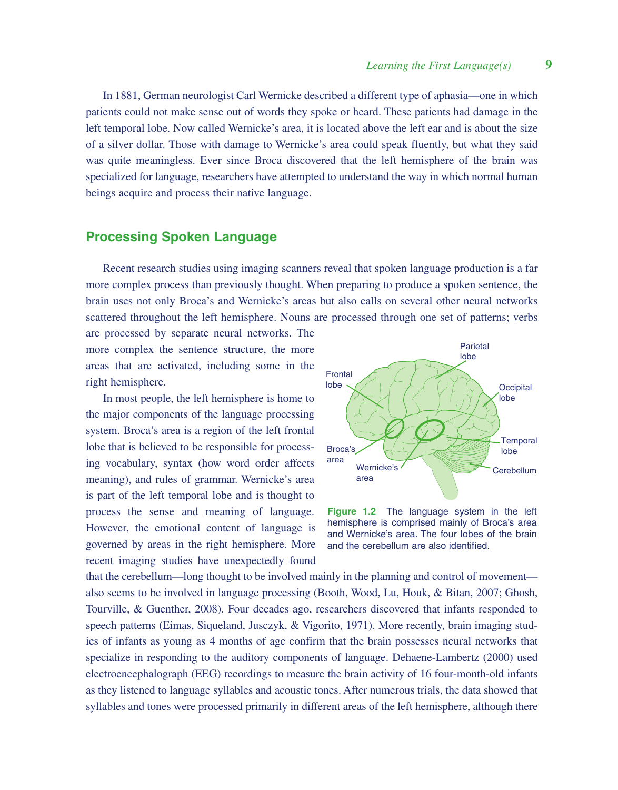In 1881, German neurologist Carl Wernicke described a different type of aphasia—one in which patients could not make sense out of words they spoke or heard. These patients had damage in the left temporal lobe. Now called Wernicke's area, it is located above the left ear and is about the size of a silver dollar. Those with damage to Wernicke's area could speak fluently, but what they said was quite meaningless. Ever since Broca discovered that the left hemisphere of the brain was specialized for language, researchers have attempted to understand the way in which normal human beings acquire and process their native language.

#### **Processing Spoken Language**

Recent research studies using imaging scanners reveal that spoken language production is a far more complex process than previously thought. When preparing to produce a spoken sentence, the brain uses not only Broca's and Wernicke's areas but also calls on several other neural networks scattered throughout the left hemisphere. Nouns are processed through one set of patterns; verbs

are processed by separate neural networks. The more complex the sentence structure, the more areas that are activated, including some in the right hemisphere.

In most people, the left hemisphere is home to the major components of the language processing system. Broca's area is a region of the left frontal lobe that is believed to be responsible for processing vocabulary, syntax (how word order affects meaning), and rules of grammar. Wernicke's area is part of the left temporal lobe and is thought to process the sense and meaning of language. However, the emotional content of language is governed by areas in the right hemisphere. More recent imaging studies have unexpectedly found



**Figure 1.2** The language system in the left hemisphere is comprised mainly of Broca's area and Wernicke's area. The four lobes of the brain and the cerebellum are also identified.

that the cerebellum—long thought to be involved mainly in the planning and control of movement also seems to be involved in language processing (Booth, Wood, Lu, Houk, & Bitan, 2007; Ghosh, Tourville, & Guenther, 2008). Four decades ago, researchers discovered that infants responded to speech patterns (Eimas, Siqueland, Jusczyk, & Vigorito, 1971). More recently, brain imaging studies of infants as young as 4 months of age confirm that the brain possesses neural networks that specialize in responding to the auditory components of language. Dehaene-Lambertz (2000) used electroencephalograph (EEG) recordings to measure the brain activity of 16 four-month-old infants as they listened to language syllables and acoustic tones. After numerous trials, the data showed that syllables and tones were processed primarily in different areas of the left hemisphere, although there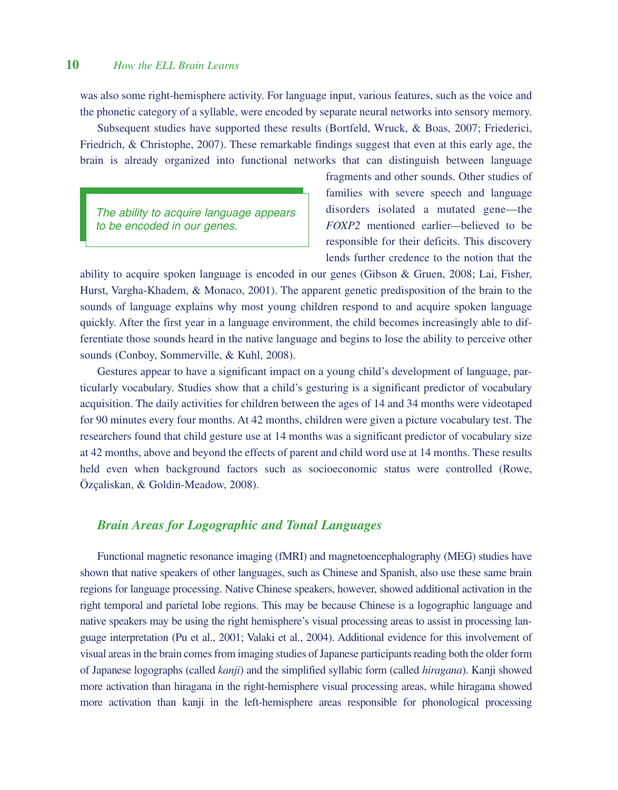was also some right-hemisphere activity. For language input, various features, such as the voice and the phonetic category of a syllable, were encoded by separate neural networks into sensory memory.

Subsequent studies have supported these results (Bortfeld, Wruck, & Boas, 2007; Friederici, Friedrich, & Christophe, 2007). These remarkable findings suggest that even at this early age, the brain is already organized into functional networks that can distinguish between language

*The ability to acquire language appears to be encoded in our genes.*

fragments and other sounds. Other studies of families with severe speech and language disorders isolated a mutated gene—the *FOXP2* mentioned earlier*—*believed to be responsible for their deficits. This discovery lends further credence to the notion that the

ability to acquire spoken language is encoded in our genes (Gibson & Gruen, 2008; Lai, Fisher, Hurst, Vargha-Khadem, & Monaco, 2001). The apparent genetic predisposition of the brain to the sounds of language explains why most young children respond to and acquire spoken language quickly. After the first year in a language environment, the child becomes increasingly able to differentiate those sounds heard in the native language and begins to lose the ability to perceive other sounds (Conboy, Sommerville, & Kuhl, 2008).

Gestures appear to have a significant impact on a young child's development of language, particularly vocabulary. Studies show that a child's gesturing is a significant predictor of vocabulary acquisition. The daily activities for children between the ages of 14 and 34 months were videotaped for 90 minutes every four months. At 42 months, children were given a picture vocabulary test. The researchers found that child gesture use at 14 months was a significant predictor of vocabulary size at 42 months, above and beyond the effects of parent and child word use at 14 months. These results held even when background factors such as socioeconomic status were controlled (Rowe, Özçaliskan, & Goldin-Meadow, 2008).

#### *Brain Areas for Logographic and Tonal Languages*

Functional magnetic resonance imaging (fMRI) and magnetoencephalography (MEG) studies have shown that native speakers of other languages, such as Chinese and Spanish, also use these same brain regions for language processing. Native Chinese speakers, however, showed additional activation in the right temporal and parietal lobe regions. This may be because Chinese is a logographic language and native speakers may be using the right hemisphere's visual processing areas to assist in processing language interpretation (Pu et al., 2001; Valaki et al., 2004). Additional evidence for this involvement of visual areas in the brain comes from imaging studies of Japanese participants reading both the older form of Japanese logographs (called *kanji*) and the simplified syllabic form (called *hiragana*). Kanji showed more activation than hiragana in the right-hemisphere visual processing areas, while hiragana showed more activation than kanji in the left-hemisphere areas responsible for phonological processing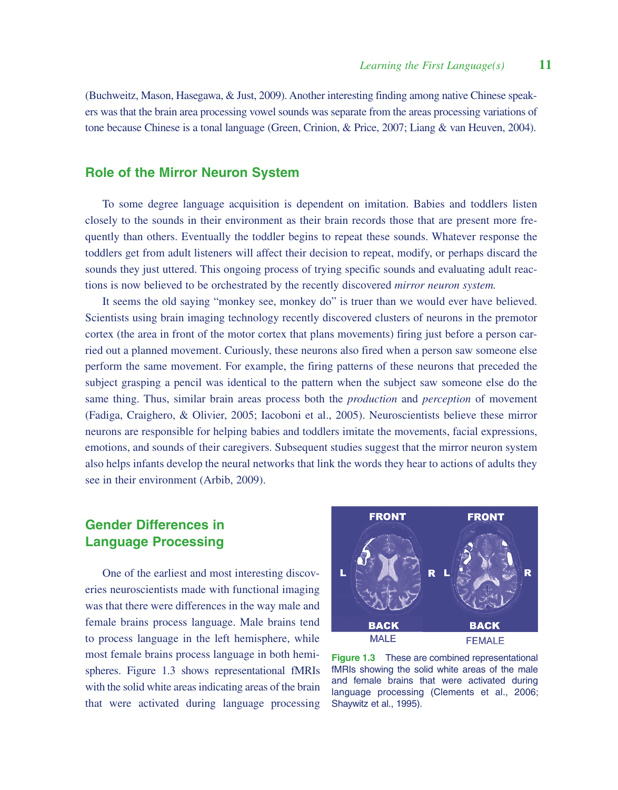(Buchweitz, Mason, Hasegawa, & Just, 2009). Another interesting finding among native Chinese speakers was that the brain area processing vowel sounds was separate from the areas processing variations of tone because Chinese is a tonal language (Green, Crinion, & Price, 2007; Liang & van Heuven, 2004).

#### **Role of the Mirror Neuron System**

To some degree language acquisition is dependent on imitation. Babies and toddlers listen closely to the sounds in their environment as their brain records those that are present more frequently than others. Eventually the toddler begins to repeat these sounds. Whatever response the toddlers get from adult listeners will affect their decision to repeat, modify, or perhaps discard the sounds they just uttered. This ongoing process of trying specific sounds and evaluating adult reactions is now believed to be orchestrated by the recently discovered *mirror neuron system.*

It seems the old saying "monkey see, monkey do" is truer than we would ever have believed. Scientists using brain imaging technology recently discovered clusters of neurons in the premotor cortex (the area in front of the motor cortex that plans movements) firing just before a person carried out a planned movement. Curiously, these neurons also fired when a person saw someone else perform the same movement. For example, the firing patterns of these neurons that preceded the subject grasping a pencil was identical to the pattern when the subject saw someone else do the same thing. Thus, similar brain areas process both the *production* and *perception* of movement (Fadiga, Craighero, & Olivier, 2005; Iacoboni et al., 2005). Neuroscientists believe these mirror neurons are responsible for helping babies and toddlers imitate the movements, facial expressions, emotions, and sounds of their caregivers. Subsequent studies suggest that the mirror neuron system also helps infants develop the neural networks that link the words they hear to actions of adults they see in their environment (Arbib, 2009).

# **Gender Differences in Language Processing**

One of the earliest and most interesting discoveries neuroscientists made with functional imaging was that there were differences in the way male and female brains process language. Male brains tend to process language in the left hemisphere, while most female brains process language in both hemispheres. Figure 1.3 shows representational fMRIs with the solid white areas indicating areas of the brain that were activated during language processing



**Figure 1.3** These are combined representational fMRIs showing the solid white areas of the male and female brains that were activated during language processing (Clements et al., 2006; Shaywitz et al., 1995).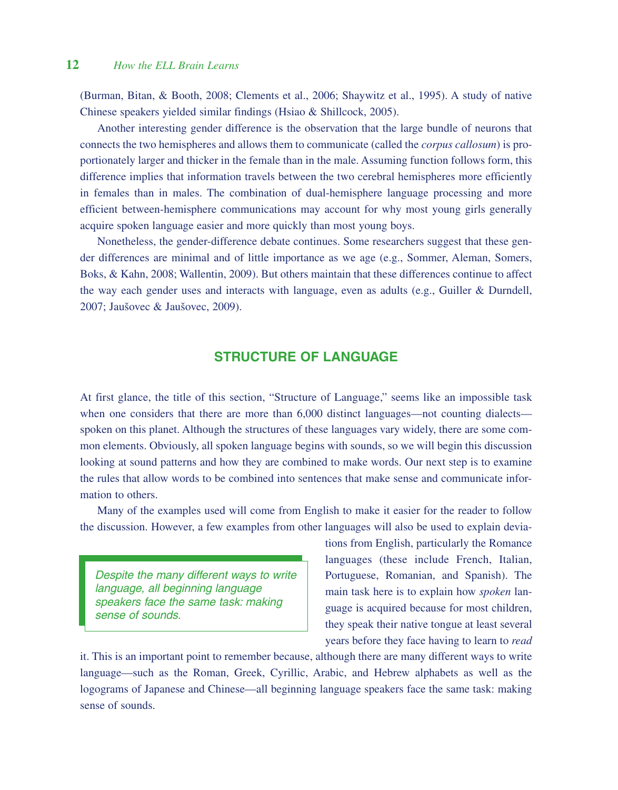(Burman, Bitan, & Booth, 2008; Clements et al., 2006; Shaywitz et al., 1995). A study of native Chinese speakers yielded similar findings (Hsiao & Shillcock, 2005).

Another interesting gender difference is the observation that the large bundle of neurons that connects the two hemispheres and allows them to communicate (called the *corpus callosum*) is proportionately larger and thicker in the female than in the male. Assuming function follows form, this difference implies that information travels between the two cerebral hemispheres more efficiently in females than in males. The combination of dual-hemisphere language processing and more efficient between-hemisphere communications may account for why most young girls generally acquire spoken language easier and more quickly than most young boys.

Nonetheless, the gender-difference debate continues. Some researchers suggest that these gender differences are minimal and of little importance as we age (e.g., Sommer, Aleman, Somers, Boks, & Kahn, 2008; Wallentin, 2009). But others maintain that these differences continue to affect the way each gender uses and interacts with language, even as adults (e.g., Guiller & Durndell, 2007; Jaušovec & Jaušovec, 2009).

#### **STRUCTURE OF LANGUAGE**

At first glance, the title of this section, "Structure of Language," seems like an impossible task when one considers that there are more than 6,000 distinct languages—not counting dialects spoken on this planet. Although the structures of these languages vary widely, there are some common elements. Obviously, all spoken language begins with sounds, so we will begin this discussion looking at sound patterns and how they are combined to make words. Our next step is to examine the rules that allow words to be combined into sentences that make sense and communicate information to others.

Many of the examples used will come from English to make it easier for the reader to follow the discussion. However, a few examples from other languages will also be used to explain devia-

*Despite the many different ways to write language, all beginning language speakers face the same task: making sense of sounds.*

tions from English, particularly the Romance languages (these include French, Italian, Portuguese, Romanian, and Spanish). The main task here is to explain how *spoken* language is acquired because for most children, they speak their native tongue at least several years before they face having to learn to *read*

it. This is an important point to remember because, although there are many different ways to write language—such as the Roman, Greek, Cyrillic, Arabic, and Hebrew alphabets as well as the logograms of Japanese and Chinese—all beginning language speakers face the same task: making sense of sounds.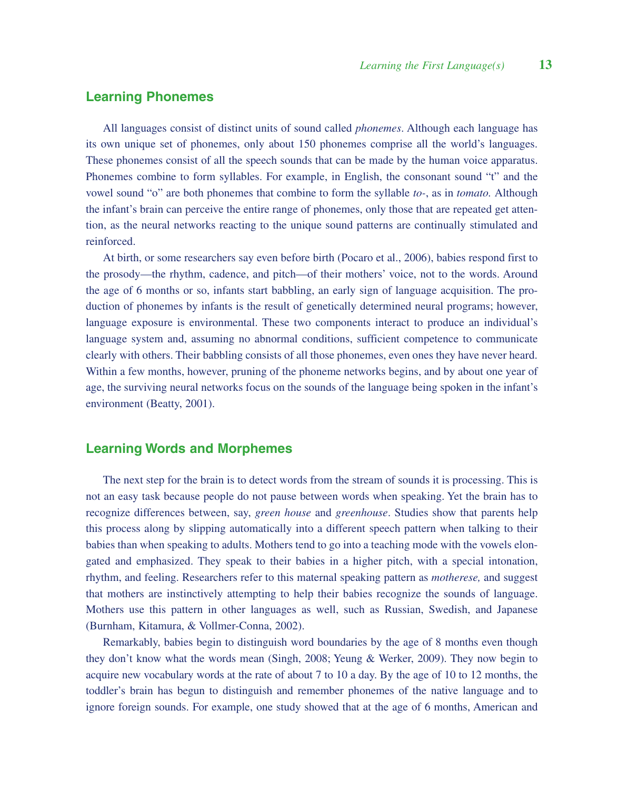# **Learning Phonemes**

All languages consist of distinct units of sound called *phonemes*. Although each language has its own unique set of phonemes, only about 150 phonemes comprise all the world's languages. These phonemes consist of all the speech sounds that can be made by the human voice apparatus. Phonemes combine to form syllables. For example, in English, the consonant sound "t" and the vowel sound "o" are both phonemes that combine to form the syllable *to-*, as in *tomato.* Although the infant's brain can perceive the entire range of phonemes, only those that are repeated get attention, as the neural networks reacting to the unique sound patterns are continually stimulated and reinforced.

At birth, or some researchers say even before birth (Pocaro et al., 2006), babies respond first to the prosody—the rhythm, cadence, and pitch—of their mothers' voice, not to the words. Around the age of 6 months or so, infants start babbling, an early sign of language acquisition. The production of phonemes by infants is the result of genetically determined neural programs; however, language exposure is environmental. These two components interact to produce an individual's language system and, assuming no abnormal conditions, sufficient competence to communicate clearly with others. Their babbling consists of all those phonemes, even ones they have never heard. Within a few months, however, pruning of the phoneme networks begins, and by about one year of age, the surviving neural networks focus on the sounds of the language being spoken in the infant's environment (Beatty, 2001).

#### **Learning Words and Morphemes**

The next step for the brain is to detect words from the stream of sounds it is processing. This is not an easy task because people do not pause between words when speaking. Yet the brain has to recognize differences between, say, *green house* and *greenhouse*. Studies show that parents help this process along by slipping automatically into a different speech pattern when talking to their babies than when speaking to adults. Mothers tend to go into a teaching mode with the vowels elongated and emphasized. They speak to their babies in a higher pitch, with a special intonation, rhythm, and feeling. Researchers refer to this maternal speaking pattern as *motherese,* and suggest that mothers are instinctively attempting to help their babies recognize the sounds of language. Mothers use this pattern in other languages as well, such as Russian, Swedish, and Japanese (Burnham, Kitamura, & Vollmer-Conna, 2002).

Remarkably, babies begin to distinguish word boundaries by the age of 8 months even though they don't know what the words mean (Singh, 2008; Yeung & Werker, 2009). They now begin to acquire new vocabulary words at the rate of about 7 to 10 a day. By the age of 10 to 12 months, the toddler's brain has begun to distinguish and remember phonemes of the native language and to ignore foreign sounds. For example, one study showed that at the age of 6 months, American and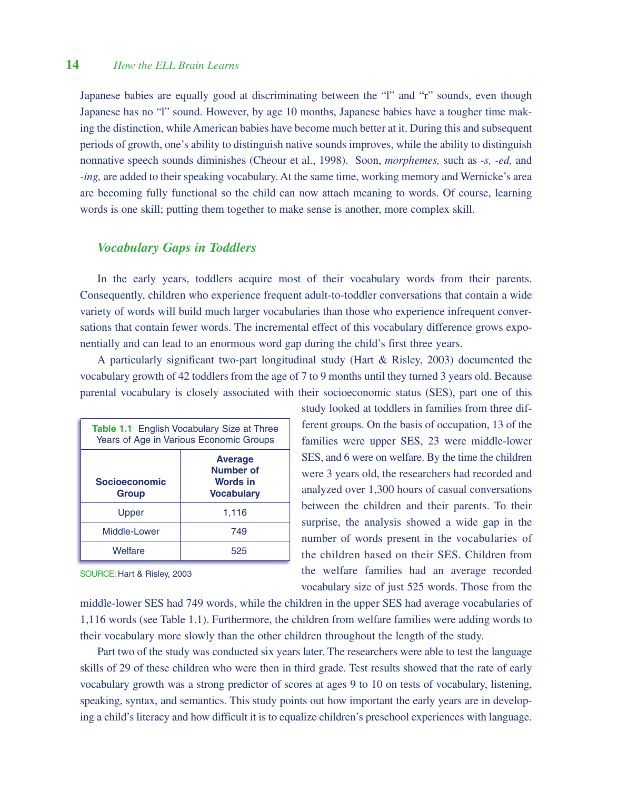#### **14**———*How the ELL Brain Learns*

Japanese babies are equally good at discriminating between the "l" and "r" sounds, even though Japanese has no "l" sound. However, by age 10 months, Japanese babies have a tougher time making the distinction, while American babies have become much better at it. During this and subsequent periods of growth, one's ability to distinguish native sounds improves, while the ability to distinguish nonnative speech sounds diminishes (Cheour et al., 1998). Soon, *morphemes,* such as *-s, -ed,* and *-ing,* are added to their speaking vocabulary. At the same time, working memory and Wernicke's area are becoming fully functional so the child can now attach meaning to words. Of course, learning words is one skill; putting them together to make sense is another, more complex skill.

#### *Vocabulary Gaps in Toddlers*

In the early years, toddlers acquire most of their vocabulary words from their parents. Consequently, children who experience frequent adult-to-toddler conversations that contain a wide variety of words will build much larger vocabularies than those who experience infrequent conversations that contain fewer words. The incremental effect of this vocabulary difference grows exponentially and can lead to an enormous word gap during the child's first three years.

A particularly significant two-part longitudinal study (Hart & Risley, 2003) documented the vocabulary growth of 42 toddlers from the age of 7 to 9 months until they turned 3 years old. Because parental vocabulary is closely associated with their socioeconomic status (SES), part one of this

| Table 1.1 English Vocabulary Size at Three<br>Years of Age in Various Economic Groups |                                                                     |  |  |  |
|---------------------------------------------------------------------------------------|---------------------------------------------------------------------|--|--|--|
| <b>Socioeconomic</b><br><b>Group</b>                                                  | <b>Average</b><br>Number of<br><b>Words in</b><br><b>Vocabulary</b> |  |  |  |
| Upper                                                                                 | 1,116                                                               |  |  |  |
| Middle-Lower                                                                          | 749                                                                 |  |  |  |
| Welfare                                                                               | 525                                                                 |  |  |  |

SOURCE: Hart & Risley, 2003

study looked at toddlers in families from three different groups. On the basis of occupation, 13 of the families were upper SES, 23 were middle-lower SES, and 6 were on welfare. By the time the children were 3 years old, the researchers had recorded and analyzed over 1,300 hours of casual conversations between the children and their parents. To their surprise, the analysis showed a wide gap in the number of words present in the vocabularies of the children based on their SES. Children from the welfare families had an average recorded vocabulary size of just 525 words. Those from the

middle-lower SES had 749 words, while the children in the upper SES had average vocabularies of 1,116 words (see Table 1.1). Furthermore, the children from welfare families were adding words to their vocabulary more slowly than the other children throughout the length of the study.

Part two of the study was conducted six years later. The researchers were able to test the language skills of 29 of these children who were then in third grade. Test results showed that the rate of early vocabulary growth was a strong predictor of scores at ages 9 to 10 on tests of vocabulary, listening, speaking, syntax, and semantics. This study points out how important the early years are in developing a child's literacy and how difficult it is to equalize children's preschool experiences with language.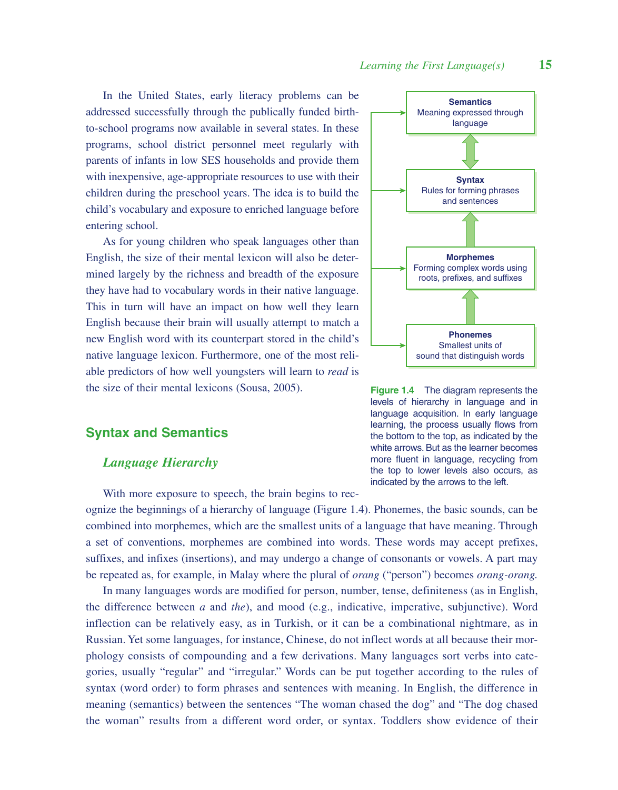In the United States, early literacy problems can be addressed successfully through the publically funded birthto-school programs now available in several states. In these programs, school district personnel meet regularly with parents of infants in low SES households and provide them with inexpensive, age-appropriate resources to use with their children during the preschool years. The idea is to build the child's vocabulary and exposure to enriched language before entering school.

As for young children who speak languages other than English, the size of their mental lexicon will also be determined largely by the richness and breadth of the exposure they have had to vocabulary words in their native language. This in turn will have an impact on how well they learn English because their brain will usually attempt to match a new English word with its counterpart stored in the child's native language lexicon. Furthermore, one of the most reliable predictors of how well youngsters will learn to *read* is the size of their mental lexicons (Sousa, 2005).

#### **Syntax and Semantics**

#### *Language Hierarchy*

With more exposure to speech, the brain begins to rec-

ognize the beginnings of a hierarchy of language (Figure 1.4). Phonemes, the basic sounds, can be combined into morphemes, which are the smallest units of a language that have meaning. Through a set of conventions, morphemes are combined into words. These words may accept prefixes, suffixes, and infixes (insertions), and may undergo a change of consonants or vowels. A part may be repeated as, for example, in Malay where the plural of *orang* ("person") becomes *orang-orang.*

In many languages words are modified for person, number, tense, definiteness (as in English, the difference between *a* and *the*), and mood (e.g., indicative, imperative, subjunctive). Word inflection can be relatively easy, as in Turkish, or it can be a combinational nightmare, as in Russian. Yet some languages, for instance, Chinese, do not inflect words at all because their morphology consists of compounding and a few derivations. Many languages sort verbs into categories, usually "regular" and "irregular." Words can be put together according to the rules of syntax (word order) to form phrases and sentences with meaning. In English, the difference in meaning (semantics) between the sentences "The woman chased the dog" and "The dog chased the woman" results from a different word order, or syntax. Toddlers show evidence of their



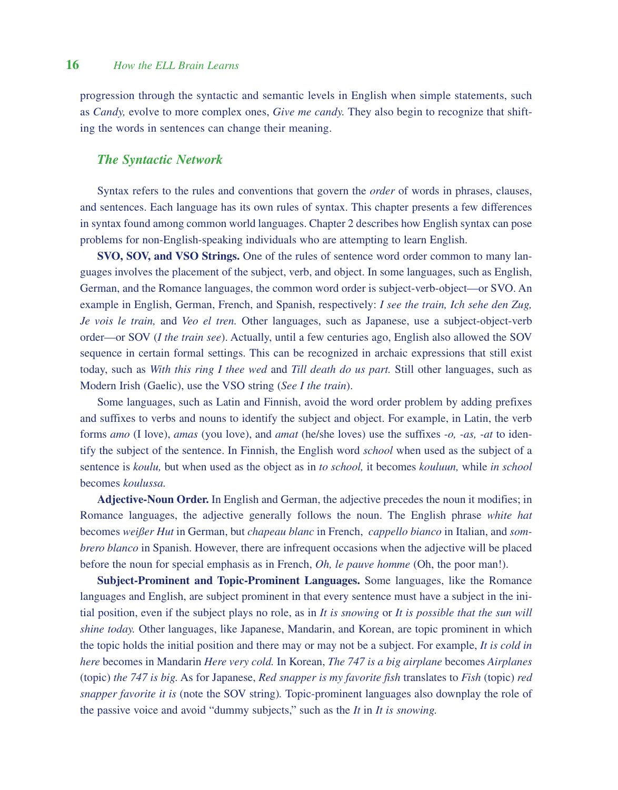progression through the syntactic and semantic levels in English when simple statements, such as *Candy,* evolve to more complex ones, *Give me candy.* They also begin to recognize that shifting the words in sentences can change their meaning.

#### *The Syntactic Network*

Syntax refers to the rules and conventions that govern the *order* of words in phrases, clauses, and sentences. Each language has its own rules of syntax. This chapter presents a few differences in syntax found among common world languages. Chapter 2 describes how English syntax can pose problems for non-English-speaking individuals who are attempting to learn English.

**SVO, SOV, and VSO Strings.** One of the rules of sentence word order common to many languages involves the placement of the subject, verb, and object. In some languages, such as English, German, and the Romance languages, the common word order is subject-verb-object—or SVO. An example in English, German, French, and Spanish, respectively: *I see the train, Ich sehe den Zug, Je vois le train,* and *Veo el tren.* Other languages, such as Japanese, use a subject-object-verb order—or SOV (*I the train see*). Actually, until a few centuries ago, English also allowed the SOV sequence in certain formal settings. This can be recognized in archaic expressions that still exist today, such as *With this ring I thee wed* and *Till death do us part.* Still other languages, such as Modern Irish (Gaelic), use the VSO string (*See I the train*).

Some languages, such as Latin and Finnish, avoid the word order problem by adding prefixes and suffixes to verbs and nouns to identify the subject and object. For example, in Latin, the verb forms *amo* (I love), *amas* (you love), and *amat* (he/she loves) use the suffixes *-o, -as, -at* to identify the subject of the sentence. In Finnish, the English word *school* when used as the subject of a sentence is *koulu,* but when used as the object as in *to school,* it becomes *kouluun,* while *in school* becomes *koulussa.*

**Adjective-Noun Order.** In English and German, the adjective precedes the noun it modifies; in Romance languages, the adjective generally follows the noun. The English phrase *white hat* becomes *weißer Hut* in German, but *chapeau blanc* in French, *cappello bianco* in Italian, and *sombrero blanco* in Spanish. However, there are infrequent occasions when the adjective will be placed before the noun for special emphasis as in French, *Oh, le pauve homme* (Oh, the poor man!).

**Subject-Prominent and Topic-Prominent Languages.** Some languages, like the Romance languages and English, are subject prominent in that every sentence must have a subject in the initial position, even if the subject plays no role, as in *It is snowing* or *It is possible that the sun will shine today.* Other languages, like Japanese, Mandarin, and Korean, are topic prominent in which the topic holds the initial position and there may or may not be a subject. For example, *It is cold in here* becomes in Mandarin *Here very cold.* In Korean, *The 747 is a big airplane* becomes *Airplanes* (topic) *the 747 is big.* As for Japanese, *Red snapper is my favorite fish* translates to *Fish* (topic) *red snapper favorite it is* (note the SOV string)*.* Topic-prominent languages also downplay the role of the passive voice and avoid "dummy subjects," such as the *It* in *It is snowing.*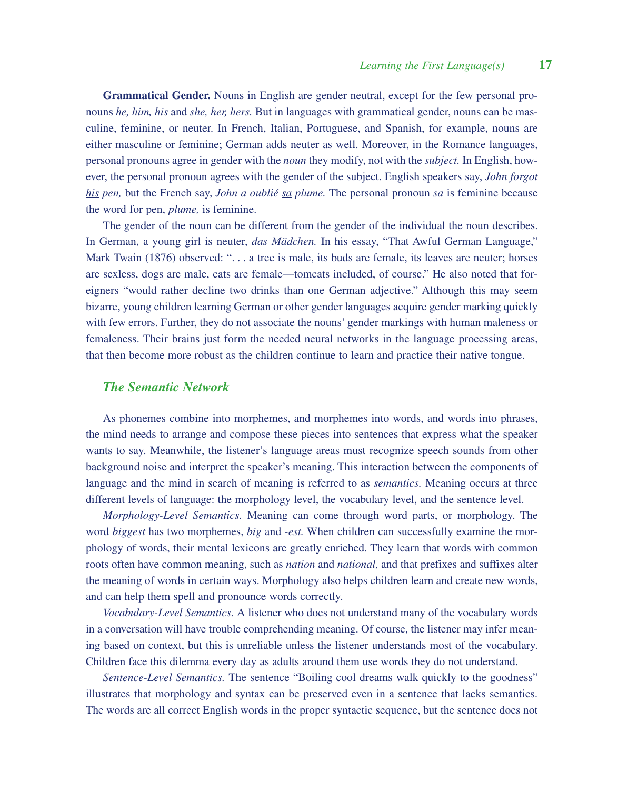**Grammatical Gender.** Nouns in English are gender neutral, except for the few personal pronouns *he, him, his* and *she, her, hers.* But in languages with grammatical gender, nouns can be masculine, feminine, or neuter. In French, Italian, Portuguese, and Spanish, for example, nouns are either masculine or feminine; German adds neuter as well. Moreover, in the Romance languages, personal pronouns agree in gender with the *noun* they modify, not with the *subject.* In English, however, the personal pronoun agrees with the gender of the subject. English speakers say, *John forgot his pen,* but the French say, *John a oublié sa plume.* The personal pronoun *sa* is feminine because the word for pen, *plume,* is feminine.

The gender of the noun can be different from the gender of the individual the noun describes. In German, a young girl is neuter, *das Mädchen.* In his essay, "That Awful German Language," Mark Twain (1876) observed: "... a tree is male, its buds are female, its leaves are neuter; horses are sexless, dogs are male, cats are female—tomcats included, of course." He also noted that foreigners "would rather decline two drinks than one German adjective." Although this may seem bizarre, young children learning German or other gender languages acquire gender marking quickly with few errors. Further, they do not associate the nouns' gender markings with human maleness or femaleness. Their brains just form the needed neural networks in the language processing areas, that then become more robust as the children continue to learn and practice their native tongue.

#### *The Semantic Network*

As phonemes combine into morphemes, and morphemes into words, and words into phrases, the mind needs to arrange and compose these pieces into sentences that express what the speaker wants to say. Meanwhile, the listener's language areas must recognize speech sounds from other background noise and interpret the speaker's meaning. This interaction between the components of language and the mind in search of meaning is referred to as *semantics.* Meaning occurs at three different levels of language: the morphology level, the vocabulary level, and the sentence level.

*Morphology-Level Semantics.* Meaning can come through word parts, or morphology. The word *biggest* has two morphemes, *big* and *-est.* When children can successfully examine the morphology of words, their mental lexicons are greatly enriched. They learn that words with common roots often have common meaning, such as *nation* and *national,* and that prefixes and suffixes alter the meaning of words in certain ways. Morphology also helps children learn and create new words, and can help them spell and pronounce words correctly.

*Vocabulary-Level Semantics.* A listener who does not understand many of the vocabulary words in a conversation will have trouble comprehending meaning. Of course, the listener may infer meaning based on context, but this is unreliable unless the listener understands most of the vocabulary. Children face this dilemma every day as adults around them use words they do not understand.

*Sentence-Level Semantics.* The sentence "Boiling cool dreams walk quickly to the goodness" illustrates that morphology and syntax can be preserved even in a sentence that lacks semantics. The words are all correct English words in the proper syntactic sequence, but the sentence does not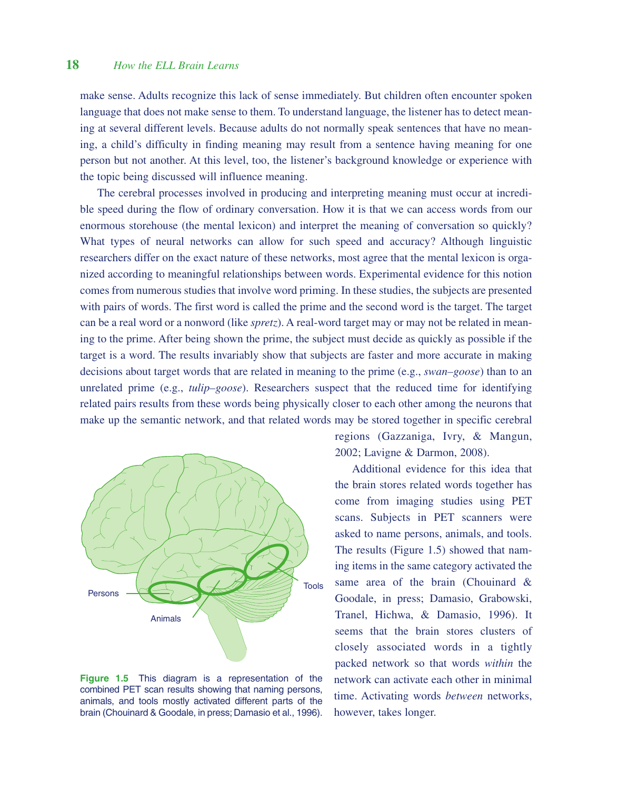#### **18**———*How the ELL Brain Learns*

make sense. Adults recognize this lack of sense immediately. But children often encounter spoken language that does not make sense to them. To understand language, the listener has to detect meaning at several different levels. Because adults do not normally speak sentences that have no meaning, a child's difficulty in finding meaning may result from a sentence having meaning for one person but not another. At this level, too, the listener's background knowledge or experience with the topic being discussed will influence meaning.

The cerebral processes involved in producing and interpreting meaning must occur at incredible speed during the flow of ordinary conversation. How it is that we can access words from our enormous storehouse (the mental lexicon) and interpret the meaning of conversation so quickly? What types of neural networks can allow for such speed and accuracy? Although linguistic researchers differ on the exact nature of these networks, most agree that the mental lexicon is organized according to meaningful relationships between words. Experimental evidence for this notion comes from numerous studies that involve word priming. In these studies, the subjects are presented with pairs of words. The first word is called the prime and the second word is the target. The target can be a real word or a nonword (like *spretz*). A real-word target may or may not be related in meaning to the prime. After being shown the prime, the subject must decide as quickly as possible if the target is a word. The results invariably show that subjects are faster and more accurate in making decisions about target words that are related in meaning to the prime (e.g., *swan–goose*) than to an unrelated prime (e.g., *tulip–goose*). Researchers suspect that the reduced time for identifying related pairs results from these words being physically closer to each other among the neurons that make up the semantic network, and that related words may be stored together in specific cerebral



**Figure 1.5** This diagram is a representation of the combined PET scan results showing that naming persons, animals, and tools mostly activated different parts of the brain (Chouinard & Goodale, in press; Damasio et al., 1996).

regions (Gazzaniga, Ivry, & Mangun, 2002; Lavigne & Darmon, 2008).

Additional evidence for this idea that the brain stores related words together has come from imaging studies using PET scans. Subjects in PET scanners were asked to name persons, animals, and tools. The results (Figure 1.5) showed that naming items in the same category activated the same area of the brain (Chouinard & Goodale, in press; Damasio, Grabowski, Tranel, Hichwa, & Damasio, 1996). It seems that the brain stores clusters of closely associated words in a tightly packed network so that words *within* the network can activate each other in minimal time. Activating words *between* networks, however, takes longer.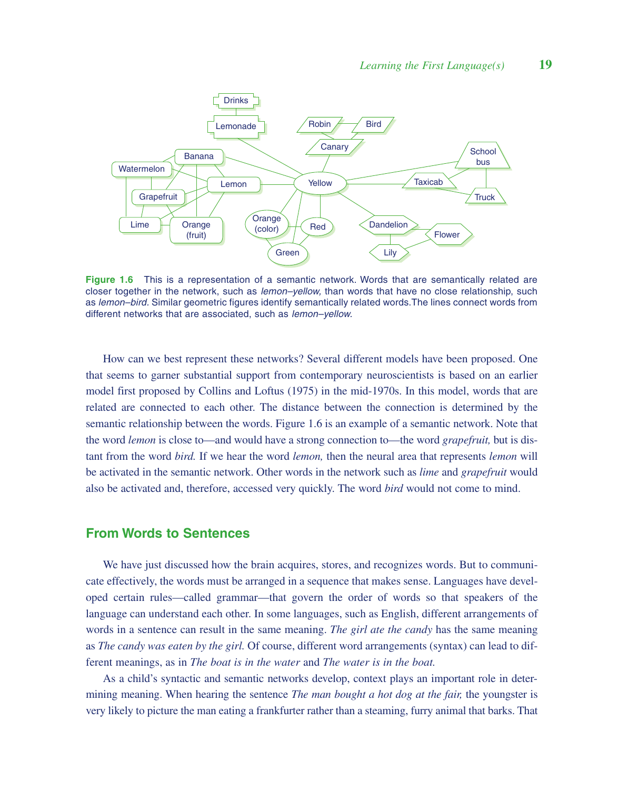

**Figure 1.6** This is a representation of a semantic network. Words that are semantically related are closer together in the network, such as *lemon–yellow,* than words that have no close relationship, such as *lemon–bird.* Similar geometric figures identify semantically related words.The lines connect words from different networks that are associated, such as *lemon–yellow.*

How can we best represent these networks? Several different models have been proposed. One that seems to garner substantial support from contemporary neuroscientists is based on an earlier model first proposed by Collins and Loftus (1975) in the mid-1970s. In this model, words that are related are connected to each other. The distance between the connection is determined by the semantic relationship between the words. Figure 1.6 is an example of a semantic network. Note that the word *lemon* is close to—and would have a strong connection to—the word *grapefruit,* but is distant from the word *bird.* If we hear the word *lemon,* then the neural area that represents *lemon* will be activated in the semantic network. Other words in the network such as *lime* and *grapefruit* would also be activated and, therefore, accessed very quickly. The word *bird* would not come to mind.

#### **From Words to Sentences**

We have just discussed how the brain acquires, stores, and recognizes words. But to communicate effectively, the words must be arranged in a sequence that makes sense. Languages have developed certain rules—called grammar—that govern the order of words so that speakers of the language can understand each other. In some languages, such as English, different arrangements of words in a sentence can result in the same meaning. *The girl ate the candy* has the same meaning as *The candy was eaten by the girl.* Of course, different word arrangements (syntax) can lead to different meanings, as in *The boat is in the water* and *The water is in the boat.*

As a child's syntactic and semantic networks develop, context plays an important role in determining meaning. When hearing the sentence *The man bought a hot dog at the fair,* the youngster is very likely to picture the man eating a frankfurter rather than a steaming, furry animal that barks. That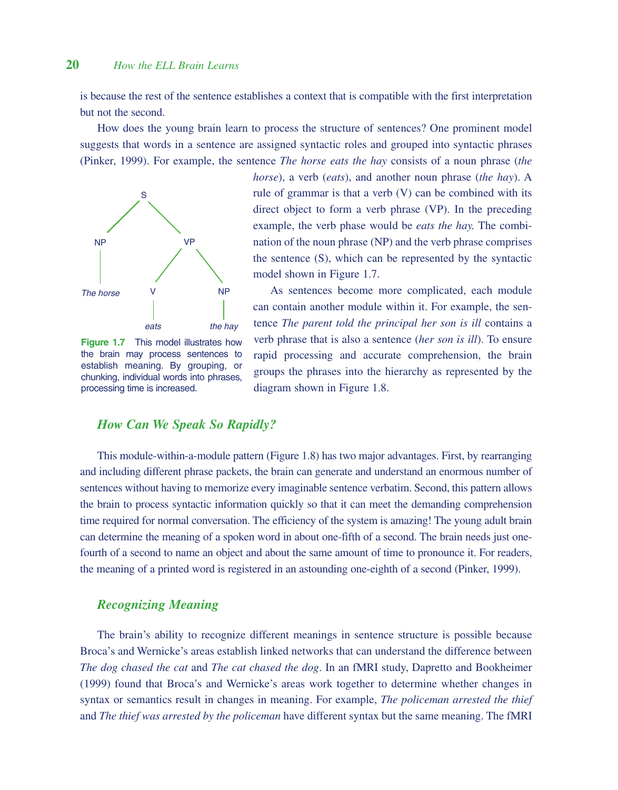is because the rest of the sentence establishes a context that is compatible with the first interpretation but not the second.

How does the young brain learn to process the structure of sentences? One prominent model suggests that words in a sentence are assigned syntactic roles and grouped into syntactic phrases (Pinker, 1999). For example, the sentence *The horse eats the hay* consists of a noun phrase (*the*



**Figure 1.7** This model illustrates how the brain may process sentences to establish meaning. By grouping, or chunking, individual words into phrases, processing time is increased.

*horse*), a verb (*eats*), and another noun phrase (*the hay*). A rule of grammar is that a verb (V) can be combined with its direct object to form a verb phrase (VP). In the preceding example, the verb phase would be *eats the hay.* The combination of the noun phrase (NP) and the verb phrase comprises the sentence (S), which can be represented by the syntactic model shown in Figure 1.7.

As sentences become more complicated, each module can contain another module within it. For example, the sentence *The parent told the principal her son is ill* contains a verb phrase that is also a sentence (*her son is ill*). To ensure rapid processing and accurate comprehension, the brain groups the phrases into the hierarchy as represented by the diagram shown in Figure 1.8.

#### *How Can We Speak So Rapidly?*

This module-within-a-module pattern (Figure 1.8) has two major advantages. First, by rearranging and including different phrase packets, the brain can generate and understand an enormous number of sentences without having to memorize every imaginable sentence verbatim. Second, this pattern allows the brain to process syntactic information quickly so that it can meet the demanding comprehension time required for normal conversation. The efficiency of the system is amazing! The young adult brain can determine the meaning of a spoken word in about one-fifth of a second. The brain needs just onefourth of a second to name an object and about the same amount of time to pronounce it. For readers, the meaning of a printed word is registered in an astounding one-eighth of a second (Pinker, 1999).

#### *Recognizing Meaning*

The brain's ability to recognize different meanings in sentence structure is possible because Broca's and Wernicke's areas establish linked networks that can understand the difference between *The dog chased the cat* and *The cat chased the dog*. In an fMRI study, Dapretto and Bookheimer (1999) found that Broca's and Wernicke's areas work together to determine whether changes in syntax or semantics result in changes in meaning. For example, *The policeman arrested the thief* and *The thief was arrested by the policeman* have different syntax but the same meaning. The fMRI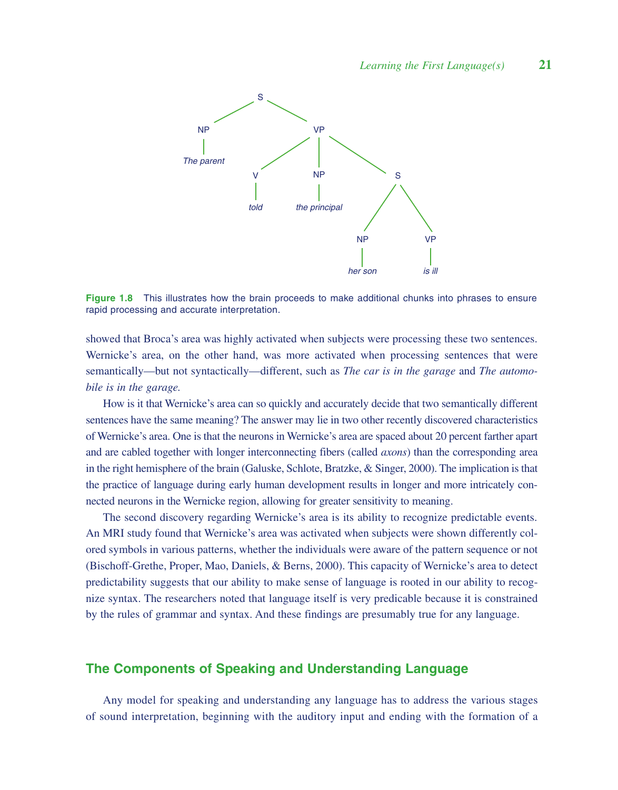

**Figure 1.8** This illustrates how the brain proceeds to make additional chunks into phrases to ensure rapid processing and accurate interpretation.

showed that Broca's area was highly activated when subjects were processing these two sentences. Wernicke's area, on the other hand, was more activated when processing sentences that were semantically—but not syntactically—different, such as *The car is in the garage* and *The automobile is in the garage.*

How is it that Wernicke's area can so quickly and accurately decide that two semantically different sentences have the same meaning? The answer may lie in two other recently discovered characteristics of Wernicke's area. One is that the neurons in Wernicke's area are spaced about 20 percent farther apart and are cabled together with longer interconnecting fibers (called *axons*) than the corresponding area in the right hemisphere of the brain (Galuske, Schlote, Bratzke, & Singer, 2000). The implication is that the practice of language during early human development results in longer and more intricately connected neurons in the Wernicke region, allowing for greater sensitivity to meaning.

The second discovery regarding Wernicke's area is its ability to recognize predictable events. An MRI study found that Wernicke's area was activated when subjects were shown differently colored symbols in various patterns, whether the individuals were aware of the pattern sequence or not (Bischoff-Grethe, Proper, Mao, Daniels, & Berns, 2000). This capacity of Wernicke's area to detect predictability suggests that our ability to make sense of language is rooted in our ability to recognize syntax. The researchers noted that language itself is very predicable because it is constrained by the rules of grammar and syntax. And these findings are presumably true for any language.

#### **The Components of Speaking and Understanding Language**

Any model for speaking and understanding any language has to address the various stages of sound interpretation, beginning with the auditory input and ending with the formation of a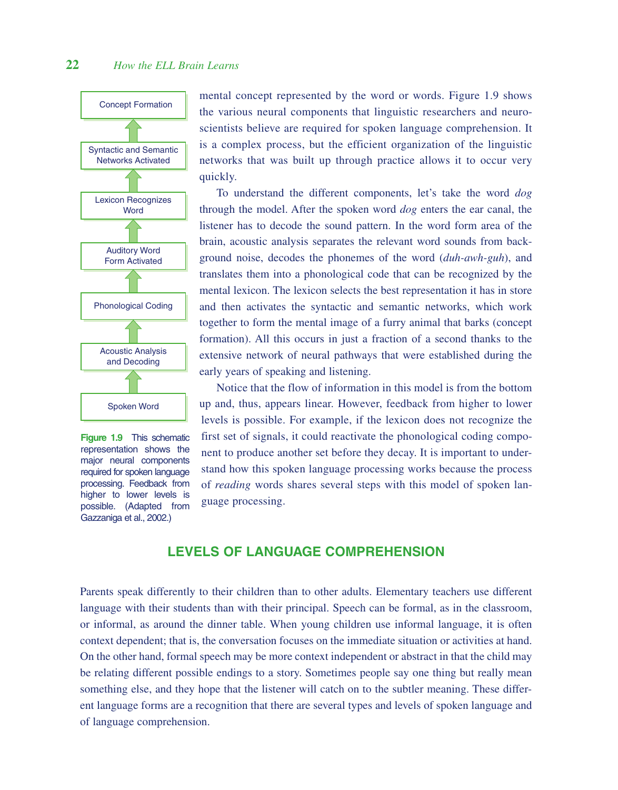

**Figure 1.9** This schematic representation shows the major neural components required for spoken language processing. Feedback from higher to lower levels is possible. (Adapted from Gazzaniga et al., 2002.)

mental concept represented by the word or words. Figure 1.9 shows the various neural components that linguistic researchers and neuroscientists believe are required for spoken language comprehension. It is a complex process, but the efficient organization of the linguistic networks that was built up through practice allows it to occur very quickly.

To understand the different components, let's take the word *dog* through the model. After the spoken word *dog* enters the ear canal, the listener has to decode the sound pattern. In the word form area of the brain, acoustic analysis separates the relevant word sounds from background noise, decodes the phonemes of the word (*duh-awh-guh*), and translates them into a phonological code that can be recognized by the mental lexicon. The lexicon selects the best representation it has in store and then activates the syntactic and semantic networks, which work together to form the mental image of a furry animal that barks (concept formation). All this occurs in just a fraction of a second thanks to the extensive network of neural pathways that were established during the early years of speaking and listening.

Notice that the flow of information in this model is from the bottom up and, thus, appears linear. However, feedback from higher to lower levels is possible. For example, if the lexicon does not recognize the first set of signals, it could reactivate the phonological coding component to produce another set before they decay. It is important to understand how this spoken language processing works because the process of *reading* words shares several steps with this model of spoken language processing.

#### **LEVELS OF LANGUAGE COMPREHENSION**

Parents speak differently to their children than to other adults. Elementary teachers use different language with their students than with their principal. Speech can be formal, as in the classroom, or informal, as around the dinner table. When young children use informal language, it is often context dependent; that is, the conversation focuses on the immediate situation or activities at hand. On the other hand, formal speech may be more context independent or abstract in that the child may be relating different possible endings to a story. Sometimes people say one thing but really mean something else, and they hope that the listener will catch on to the subtler meaning. These different language forms are a recognition that there are several types and levels of spoken language and of language comprehension.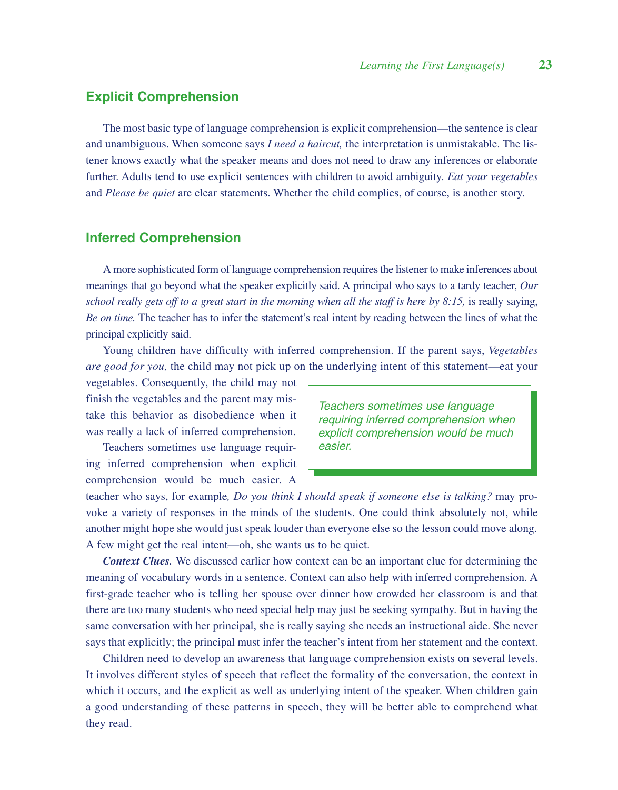#### **Explicit Comprehension**

The most basic type of language comprehension is explicit comprehension—the sentence is clear and unambiguous. When someone says *I need a haircut,* the interpretation is unmistakable. The listener knows exactly what the speaker means and does not need to draw any inferences or elaborate further. Adults tend to use explicit sentences with children to avoid ambiguity. *Eat your vegetables* and *Please be quiet* are clear statements. Whether the child complies, of course, is another story.

#### **Inferred Comprehension**

A more sophisticated form of language comprehension requires the listener to make inferences about meanings that go beyond what the speaker explicitly said. A principal who says to a tardy teacher, *Our* school really gets off to a great start in the morning when all the staff is here by 8:15, is really saying, *Be on time.* The teacher has to infer the statement's real intent by reading between the lines of what the principal explicitly said.

Young children have difficulty with inferred comprehension. If the parent says, *Vegetables are good for you,* the child may not pick up on the underlying intent of this statement—eat your

vegetables. Consequently, the child may not finish the vegetables and the parent may mistake this behavior as disobedience when it was really a lack of inferred comprehension.

Teachers sometimes use language requiring inferred comprehension when explicit comprehension would be much easier. A

*Teachers sometimes use language requiring inferred comprehension when explicit comprehension would be much easier.*

teacher who says, for example*, Do you think I should speak if someone else is talking?* may provoke a variety of responses in the minds of the students. One could think absolutely not, while another might hope she would just speak louder than everyone else so the lesson could move along. A few might get the real intent—oh, she wants us to be quiet.

*Context Clues.* We discussed earlier how context can be an important clue for determining the meaning of vocabulary words in a sentence. Context can also help with inferred comprehension. A first-grade teacher who is telling her spouse over dinner how crowded her classroom is and that there are too many students who need special help may just be seeking sympathy. But in having the same conversation with her principal, she is really saying she needs an instructional aide. She never says that explicitly; the principal must infer the teacher's intent from her statement and the context.

Children need to develop an awareness that language comprehension exists on several levels. It involves different styles of speech that reflect the formality of the conversation, the context in which it occurs, and the explicit as well as underlying intent of the speaker. When children gain a good understanding of these patterns in speech, they will be better able to comprehend what they read.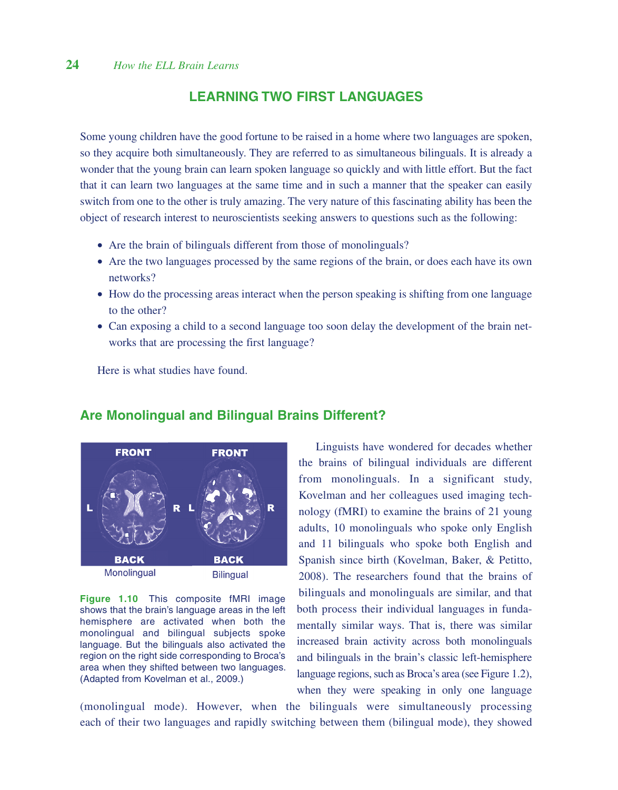### **LEARNING TWO FIRST LANGUAGES**

Some young children have the good fortune to be raised in a home where two languages are spoken, so they acquire both simultaneously. They are referred to as simultaneous bilinguals. It is already a wonder that the young brain can learn spoken language so quickly and with little effort. But the fact that it can learn two languages at the same time and in such a manner that the speaker can easily switch from one to the other is truly amazing. The very nature of this fascinating ability has been the object of research interest to neuroscientists seeking answers to questions such as the following:

- Are the brain of bilinguals different from those of monolinguals?
- Are the two languages processed by the same regions of the brain, or does each have its own networks?
- How do the processing areas interact when the person speaking is shifting from one language to the other?
- Can exposing a child to a second language too soon delay the development of the brain networks that are processing the first language?

Here is what studies have found.



#### **Are Monolingual and Bilingual Brains Different?**

**Figure 1.10** This composite fMRI image shows that the brain's language areas in the left hemisphere are activated when both the monolingual and bilingual subjects spoke language. But the bilinguals also activated the region on the right side corresponding to Broca's area when they shifted between two languages. (Adapted from Kovelman et al., 2009.)

Linguists have wondered for decades whether the brains of bilingual individuals are different from monolinguals. In a significant study, Kovelman and her colleagues used imaging technology (fMRI) to examine the brains of 21 young adults, 10 monolinguals who spoke only English and 11 bilinguals who spoke both English and Spanish since birth (Kovelman, Baker, & Petitto, 2008). The researchers found that the brains of bilinguals and monolinguals are similar, and that both process their individual languages in fundamentally similar ways. That is, there was similar increased brain activity across both monolinguals and bilinguals in the brain's classic left-hemisphere language regions, such as Broca's area (see Figure 1.2), when they were speaking in only one language

(monolingual mode). However, when the bilinguals were simultaneously processing each of their two languages and rapidly switching between them (bilingual mode), they showed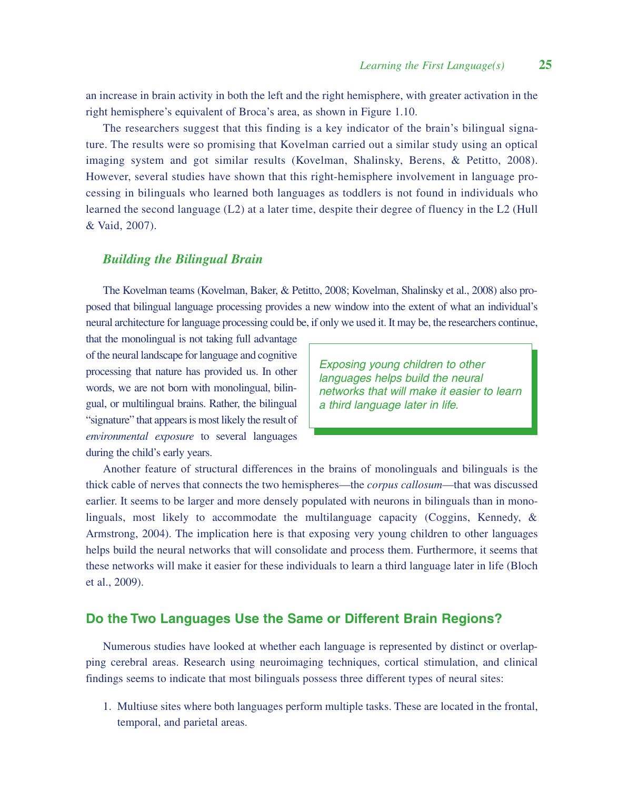an increase in brain activity in both the left and the right hemisphere, with greater activation in the right hemisphere's equivalent of Broca's area, as shown in Figure 1.10.

The researchers suggest that this finding is a key indicator of the brain's bilingual signature. The results were so promising that Kovelman carried out a similar study using an optical imaging system and got similar results (Kovelman, Shalinsky, Berens, & Petitto, 2008). However, several studies have shown that this right-hemisphere involvement in language processing in bilinguals who learned both languages as toddlers is not found in individuals who learned the second language (L2) at a later time, despite their degree of fluency in the L2 (Hull & Vaid, 2007).

#### *Building the Bilingual Brain*

The Kovelman teams (Kovelman, Baker, & Petitto, 2008; Kovelman, Shalinsky et al., 2008) also proposed that bilingual language processing provides a new window into the extent of what an individual's neural architecture for language processing could be, if only we used it. It may be, the researchers continue,

that the monolingual is not taking full advantage of the neural landscape for language and cognitive processing that nature has provided us. In other words, we are not born with monolingual, bilingual, or multilingual brains. Rather, the bilingual "signature" that appears is most likely the result of *environmental exposure* to several languages during the child's early years.

*Exposing young children to other languages helps build the neural networks that will make it easier to learn a third language later in life.*

Another feature of structural differences in the brains of monolinguals and bilinguals is the thick cable of nerves that connects the two hemispheres—the *corpus callosum*—that was discussed earlier. It seems to be larger and more densely populated with neurons in bilinguals than in monolinguals, most likely to accommodate the multilanguage capacity (Coggins, Kennedy, & Armstrong, 2004). The implication here is that exposing very young children to other languages helps build the neural networks that will consolidate and process them. Furthermore, it seems that these networks will make it easier for these individuals to learn a third language later in life (Bloch et al., 2009).

#### **Do the Two Languages Use the Same or Different Brain Regions?**

Numerous studies have looked at whether each language is represented by distinct or overlapping cerebral areas. Research using neuroimaging techniques, cortical stimulation, and clinical findings seems to indicate that most bilinguals possess three different types of neural sites:

1. Multiuse sites where both languages perform multiple tasks. These are located in the frontal, temporal, and parietal areas.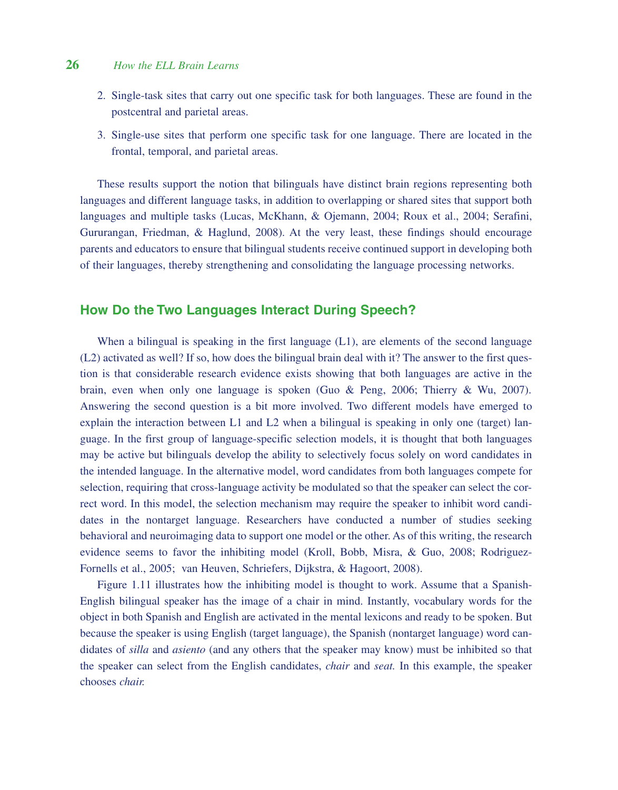#### **26**———*How the ELL Brain Learns*

- 2. Single-task sites that carry out one specific task for both languages. These are found in the postcentral and parietal areas.
- 3. Single-use sites that perform one specific task for one language. There are located in the frontal, temporal, and parietal areas.

These results support the notion that bilinguals have distinct brain regions representing both languages and different language tasks, in addition to overlapping or shared sites that support both languages and multiple tasks (Lucas, McKhann, & Ojemann, 2004; Roux et al., 2004; Serafini, Gururangan, Friedman, & Haglund, 2008). At the very least, these findings should encourage parents and educators to ensure that bilingual students receive continued support in developing both of their languages, thereby strengthening and consolidating the language processing networks.

#### **How Do the Two Languages Interact During Speech?**

When a bilingual is speaking in the first language (L1), are elements of the second language (L2) activated as well? If so, how does the bilingual brain deal with it? The answer to the first question is that considerable research evidence exists showing that both languages are active in the brain, even when only one language is spoken (Guo & Peng, 2006; Thierry & Wu, 2007). Answering the second question is a bit more involved. Two different models have emerged to explain the interaction between L1 and L2 when a bilingual is speaking in only one (target) language. In the first group of language-specific selection models, it is thought that both languages may be active but bilinguals develop the ability to selectively focus solely on word candidates in the intended language. In the alternative model, word candidates from both languages compete for selection, requiring that cross-language activity be modulated so that the speaker can select the correct word. In this model, the selection mechanism may require the speaker to inhibit word candidates in the nontarget language. Researchers have conducted a number of studies seeking behavioral and neuroimaging data to support one model or the other. As of this writing, the research evidence seems to favor the inhibiting model (Kroll, Bobb, Misra, & Guo, 2008; Rodriguez-Fornells et al., 2005; van Heuven, Schriefers, Dijkstra, & Hagoort, 2008).

Figure 1.11 illustrates how the inhibiting model is thought to work. Assume that a Spanish-English bilingual speaker has the image of a chair in mind. Instantly, vocabulary words for the object in both Spanish and English are activated in the mental lexicons and ready to be spoken. But because the speaker is using English (target language), the Spanish (nontarget language) word candidates of *silla* and *asiento* (and any others that the speaker may know) must be inhibited so that the speaker can select from the English candidates, *chair* and *seat.* In this example, the speaker chooses *chair.*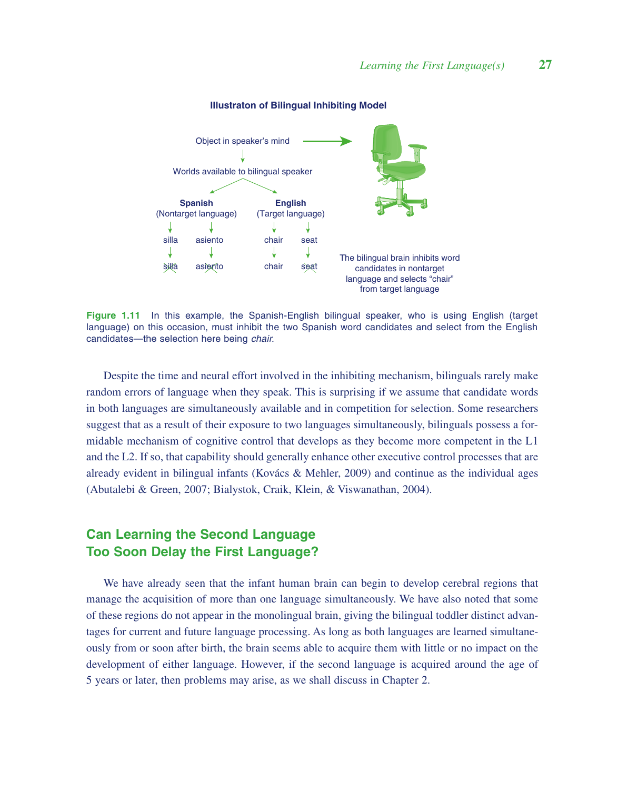

#### **Illustraton of Bilingual Inhibiting Model**

**Figure 1.11** In this example, the Spanish-English bilingual speaker, who is using English (target language) on this occasion, must inhibit the two Spanish word candidates and select from the English candidates—the selection here being *chair.*

Despite the time and neural effort involved in the inhibiting mechanism, bilinguals rarely make random errors of language when they speak. This is surprising if we assume that candidate words in both languages are simultaneously available and in competition for selection. Some researchers suggest that as a result of their exposure to two languages simultaneously, bilinguals possess a formidable mechanism of cognitive control that develops as they become more competent in the L1 and the L2. If so, that capability should generally enhance other executive control processes that are already evident in bilingual infants (Kovács & Mehler, 2009) and continue as the individual ages (Abutalebi & Green, 2007; Bialystok, Craik, Klein, & Viswanathan, 2004).

# **Can Learning the Second Language Too Soon Delay the First Language?**

We have already seen that the infant human brain can begin to develop cerebral regions that manage the acquisition of more than one language simultaneously. We have also noted that some of these regions do not appear in the monolingual brain, giving the bilingual toddler distinct advantages for current and future language processing. As long as both languages are learned simultaneously from or soon after birth, the brain seems able to acquire them with little or no impact on the development of either language. However, if the second language is acquired around the age of 5 years or later, then problems may arise, as we shall discuss in Chapter 2.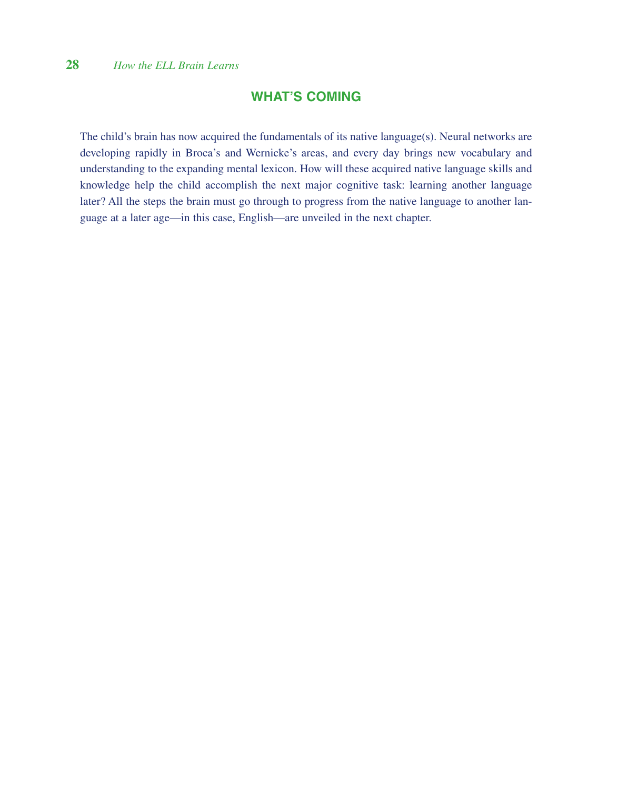### **WHAT'S COMING**

The child's brain has now acquired the fundamentals of its native language(s). Neural networks are developing rapidly in Broca's and Wernicke's areas, and every day brings new vocabulary and understanding to the expanding mental lexicon. How will these acquired native language skills and knowledge help the child accomplish the next major cognitive task: learning another language later? All the steps the brain must go through to progress from the native language to another language at a later age—in this case, English—are unveiled in the next chapter.